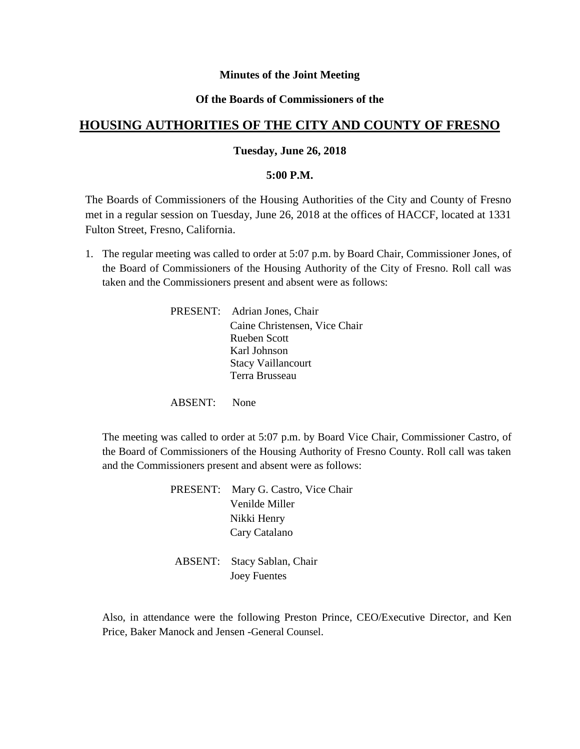## **Minutes of the Joint Meeting**

## **Of the Boards of Commissioners of the**

# **HOUSING AUTHORITIES OF THE CITY AND COUNTY OF FRESNO**

## **Tuesday, June 26, 2018**

#### **5:00 P.M.**

The Boards of Commissioners of the Housing Authorities of the City and County of Fresno met in a regular session on Tuesday, June 26, 2018 at the offices of HACCF, located at 1331 Fulton Street, Fresno, California.

1. The regular meeting was called to order at 5:07 p.m. by Board Chair, Commissioner Jones, of the Board of Commissioners of the Housing Authority of the City of Fresno. Roll call was taken and the Commissioners present and absent were as follows:

> PRESENT: Adrian Jones, Chair Caine Christensen, Vice Chair Rueben Scott Karl Johnson Stacy Vaillancourt Terra Brusseau

ABSENT: None

The meeting was called to order at 5:07 p.m. by Board Vice Chair, Commissioner Castro, of the Board of Commissioners of the Housing Authority of Fresno County. Roll call was taken and the Commissioners present and absent were as follows:

> PRESENT: Mary G. Castro, Vice Chair Venilde Miller Nikki Henry Cary Catalano

ABSENT: Stacy Sablan, Chair Joey Fuentes

Also, in attendance were the following Preston Prince, CEO/Executive Director, and Ken Price, Baker Manock and Jensen -General Counsel.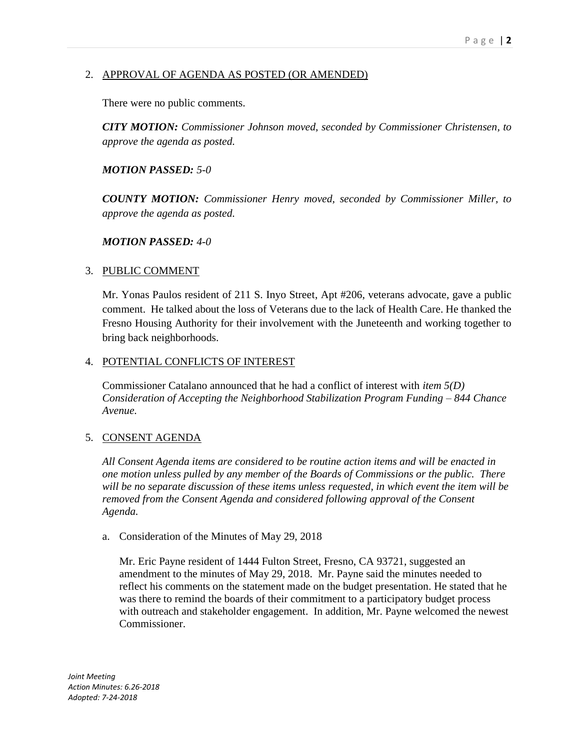# 2. APPROVAL OF AGENDA AS POSTED (OR AMENDED)

There were no public comments.

*CITY MOTION: Commissioner Johnson moved, seconded by Commissioner Christensen, to approve the agenda as posted.*

# *MOTION PASSED: 5-0*

*COUNTY MOTION: Commissioner Henry moved, seconded by Commissioner Miller, to approve the agenda as posted.*

## *MOTION PASSED: 4-0*

## 3. PUBLIC COMMENT

Mr. Yonas Paulos resident of 211 S. Inyo Street, Apt #206, veterans advocate, gave a public comment. He talked about the loss of Veterans due to the lack of Health Care. He thanked the Fresno Housing Authority for their involvement with the Juneteenth and working together to bring back neighborhoods.

## 4. POTENTIAL CONFLICTS OF INTEREST

Commissioner Catalano announced that he had a conflict of interest with *item 5(D) Consideration of Accepting the Neighborhood Stabilization Program Funding – 844 Chance Avenue.*

## 5. CONSENT AGENDA

*All Consent Agenda items are considered to be routine action items and will be enacted in one motion unless pulled by any member of the Boards of Commissions or the public. There will be no separate discussion of these items unless requested, in which event the item will be removed from the Consent Agenda and considered following approval of the Consent Agenda.*

## a. Consideration of the Minutes of May 29, 2018

Mr. Eric Payne resident of 1444 Fulton Street, Fresno, CA 93721, suggested an amendment to the minutes of May 29, 2018. Mr. Payne said the minutes needed to reflect his comments on the statement made on the budget presentation. He stated that he was there to remind the boards of their commitment to a participatory budget process with outreach and stakeholder engagement. In addition, Mr. Payne welcomed the newest Commissioner.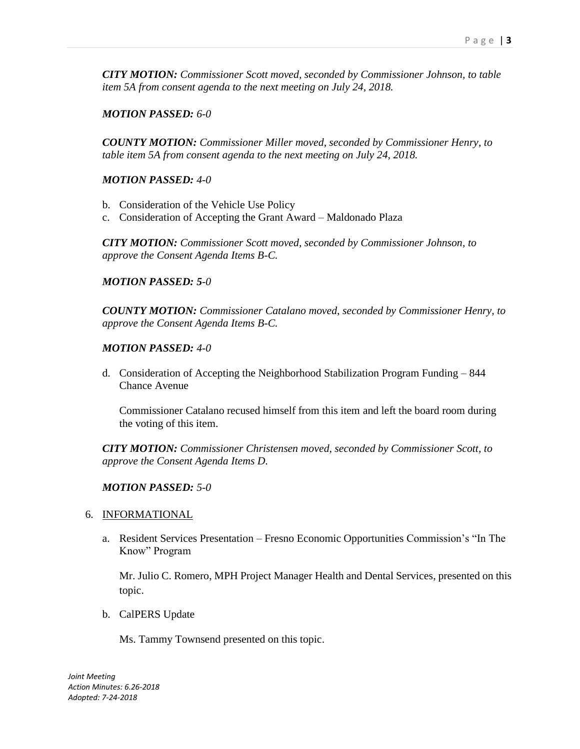*CITY MOTION: Commissioner Scott moved, seconded by Commissioner Johnson, to table item 5A from consent agenda to the next meeting on July 24, 2018.*

## *MOTION PASSED: 6-0*

*COUNTY MOTION: Commissioner Miller moved, seconded by Commissioner Henry, to table item 5A from consent agenda to the next meeting on July 24, 2018.*

# *MOTION PASSED: 4-0*

- b. Consideration of the Vehicle Use Policy
- c. Consideration of Accepting the Grant Award Maldonado Plaza

*CITY MOTION: Commissioner Scott moved, seconded by Commissioner Johnson, to approve the Consent Agenda Items B-C.*

## *MOTION PASSED: 5-0*

*COUNTY MOTION: Commissioner Catalano moved, seconded by Commissioner Henry, to approve the Consent Agenda Items B-C.*

## *MOTION PASSED: 4-0*

d. Consideration of Accepting the Neighborhood Stabilization Program Funding – 844 Chance Avenue

Commissioner Catalano recused himself from this item and left the board room during the voting of this item.

*CITY MOTION: Commissioner Christensen moved, seconded by Commissioner Scott, to approve the Consent Agenda Items D.*

## *MOTION PASSED: 5-0*

## 6. INFORMATIONAL

a. Resident Services Presentation – Fresno Economic Opportunities Commission's "In The Know" Program

Mr. Julio C. Romero, MPH Project Manager Health and Dental Services, presented on this topic.

b. CalPERS Update

Ms. Tammy Townsend presented on this topic.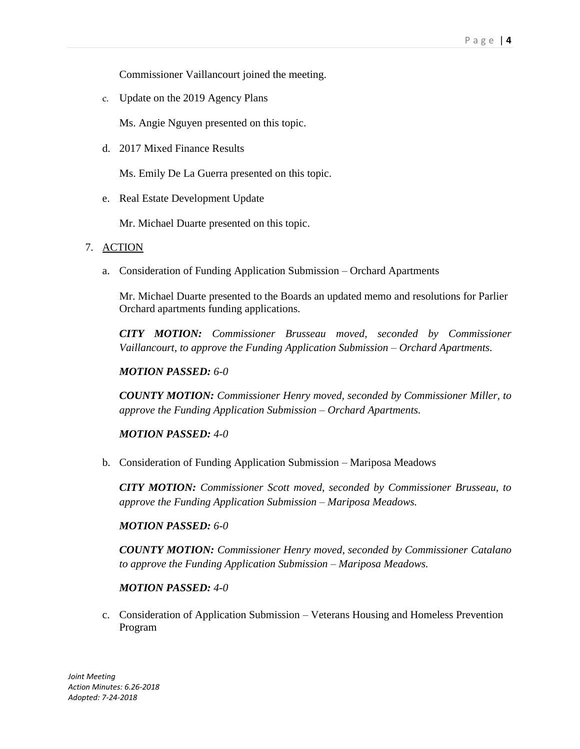Commissioner Vaillancourt joined the meeting.

c. Update on the 2019 Agency Plans

Ms. Angie Nguyen presented on this topic.

d. 2017 Mixed Finance Results

Ms. Emily De La Guerra presented on this topic.

e. Real Estate Development Update

Mr. Michael Duarte presented on this topic.

#### 7. ACTION

a. Consideration of Funding Application Submission – Orchard Apartments

Mr. Michael Duarte presented to the Boards an updated memo and resolutions for Parlier Orchard apartments funding applications.

*CITY MOTION: Commissioner Brusseau moved, seconded by Commissioner Vaillancourt, to approve the Funding Application Submission – Orchard Apartments.*

#### *MOTION PASSED: 6-0*

*COUNTY MOTION: Commissioner Henry moved, seconded by Commissioner Miller, to approve the Funding Application Submission – Orchard Apartments.*

## *MOTION PASSED: 4-0*

b. Consideration of Funding Application Submission – Mariposa Meadows

*CITY MOTION: Commissioner Scott moved, seconded by Commissioner Brusseau, to approve the Funding Application Submission – Mariposa Meadows.*

#### *MOTION PASSED: 6-0*

*COUNTY MOTION: Commissioner Henry moved, seconded by Commissioner Catalano to approve the Funding Application Submission – Mariposa Meadows.*

#### *MOTION PASSED: 4-0*

c. Consideration of Application Submission – Veterans Housing and Homeless Prevention Program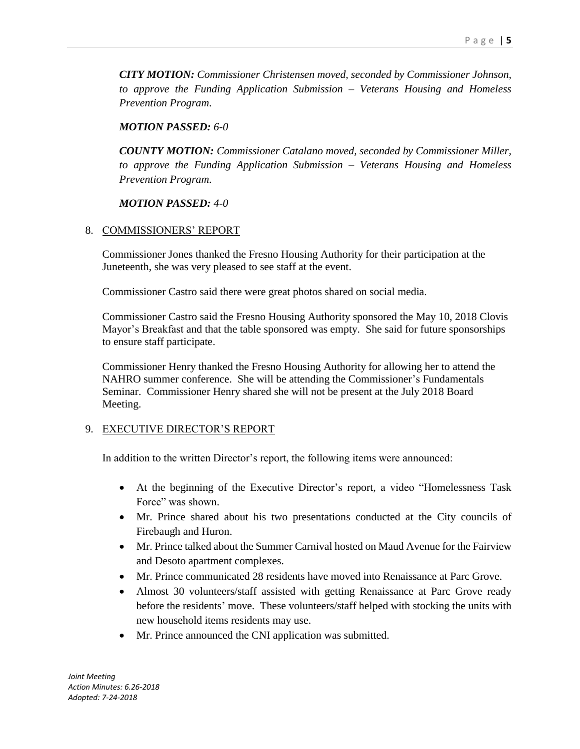*CITY MOTION: Commissioner Christensen moved, seconded by Commissioner Johnson, to approve the Funding Application Submission – Veterans Housing and Homeless Prevention Program.*

# *MOTION PASSED: 6-0*

*COUNTY MOTION: Commissioner Catalano moved, seconded by Commissioner Miller, to approve the Funding Application Submission – Veterans Housing and Homeless Prevention Program.*

# *MOTION PASSED: 4-0*

## 8. COMMISSIONERS' REPORT

Commissioner Jones thanked the Fresno Housing Authority for their participation at the Juneteenth, she was very pleased to see staff at the event.

Commissioner Castro said there were great photos shared on social media.

Commissioner Castro said the Fresno Housing Authority sponsored the May 10, 2018 Clovis Mayor's Breakfast and that the table sponsored was empty. She said for future sponsorships to ensure staff participate.

Commissioner Henry thanked the Fresno Housing Authority for allowing her to attend the NAHRO summer conference. She will be attending the Commissioner's Fundamentals Seminar. Commissioner Henry shared she will not be present at the July 2018 Board Meeting.

# 9. EXECUTIVE DIRECTOR'S REPORT

In addition to the written Director's report, the following items were announced:

- At the beginning of the Executive Director's report, a video "Homelessness Task Force" was shown.
- Mr. Prince shared about his two presentations conducted at the City councils of Firebaugh and Huron.
- Mr. Prince talked about the Summer Carnival hosted on Maud Avenue for the Fairview and Desoto apartment complexes.
- Mr. Prince communicated 28 residents have moved into Renaissance at Parc Grove.
- Almost 30 volunteers/staff assisted with getting Renaissance at Parc Grove ready before the residents' move. These volunteers/staff helped with stocking the units with new household items residents may use.
- Mr. Prince announced the CNI application was submitted.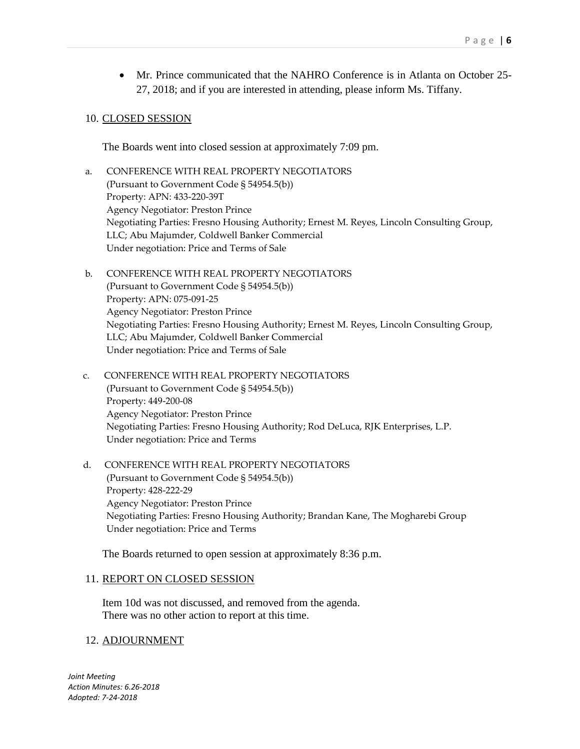Mr. Prince communicated that the NAHRO Conference is in Atlanta on October 25- 27, 2018; and if you are interested in attending, please inform Ms. Tiffany.

## 10. CLOSED SESSION

The Boards went into closed session at approximately 7:09 pm.

- a. CONFERENCE WITH REAL PROPERTY NEGOTIATORS (Pursuant to Government Code § 54954.5(b)) Property: APN: 433-220-39T Agency Negotiator: Preston Prince Negotiating Parties: Fresno Housing Authority; Ernest M. Reyes, Lincoln Consulting Group, LLC; Abu Majumder, Coldwell Banker Commercial Under negotiation: Price and Terms of Sale
- b. CONFERENCE WITH REAL PROPERTY NEGOTIATORS (Pursuant to Government Code § 54954.5(b)) Property: APN: 075-091-25 Agency Negotiator: Preston Prince Negotiating Parties: Fresno Housing Authority; Ernest M. Reyes, Lincoln Consulting Group, LLC; Abu Majumder, Coldwell Banker Commercial Under negotiation: Price and Terms of Sale
- c. CONFERENCE WITH REAL PROPERTY NEGOTIATORS (Pursuant to Government Code § 54954.5(b)) Property: 449-200-08 Agency Negotiator: Preston Prince Negotiating Parties: Fresno Housing Authority; Rod DeLuca, RJK Enterprises, L.P. Under negotiation: Price and Terms
- d. CONFERENCE WITH REAL PROPERTY NEGOTIATORS (Pursuant to Government Code § 54954.5(b)) Property: 428-222-29 Agency Negotiator: Preston Prince Negotiating Parties: Fresno Housing Authority; Brandan Kane, The Mogharebi Group Under negotiation: Price and Terms

The Boards returned to open session at approximately 8:36 p.m.

#### 11. REPORT ON CLOSED SESSION

Item 10d was not discussed, and removed from the agenda. There was no other action to report at this time.

#### 12. ADJOURNMENT